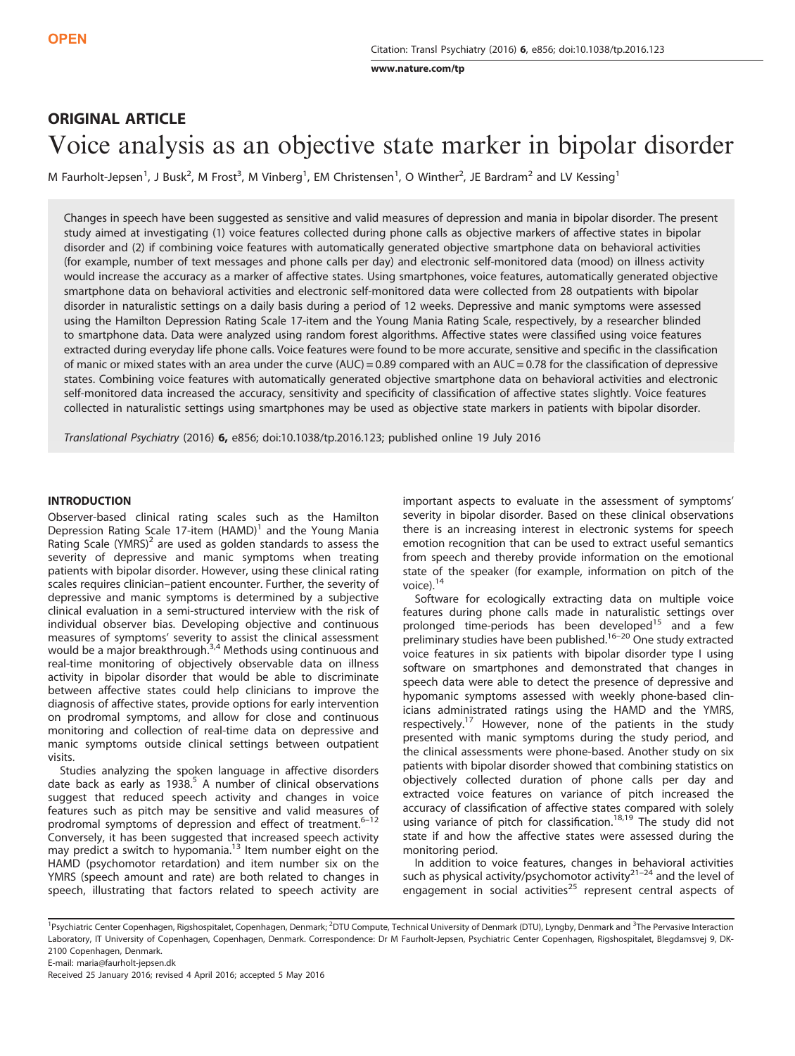[www.nature.com/tp](http://www.nature.com/tp)

# ORIGINAL ARTICLE Voice analysis as an objective state marker in bipolar disorder

M Faurholt-Jepsen<sup>1</sup>, J Busk<sup>2</sup>, M Frost<sup>3</sup>, M Vinberg<sup>1</sup>, EM Christensen<sup>1</sup>, O Winther<sup>2</sup>, JE Bardram<sup>2</sup> and LV Kessing<sup>1</sup>

Changes in speech have been suggested as sensitive and valid measures of depression and mania in bipolar disorder. The present study aimed at investigating (1) voice features collected during phone calls as objective markers of affective states in bipolar disorder and (2) if combining voice features with automatically generated objective smartphone data on behavioral activities (for example, number of text messages and phone calls per day) and electronic self-monitored data (mood) on illness activity would increase the accuracy as a marker of affective states. Using smartphones, voice features, automatically generated objective smartphone data on behavioral activities and electronic self-monitored data were collected from 28 outpatients with bipolar disorder in naturalistic settings on a daily basis during a period of 12 weeks. Depressive and manic symptoms were assessed using the Hamilton Depression Rating Scale 17-item and the Young Mania Rating Scale, respectively, by a researcher blinded to smartphone data. Data were analyzed using random forest algorithms. Affective states were classified using voice features extracted during everyday life phone calls. Voice features were found to be more accurate, sensitive and specific in the classification of manic or mixed states with an area under the curve (AUC) = 0.89 compared with an AUC = 0.78 for the classification of depressive states. Combining voice features with automatically generated objective smartphone data on behavioral activities and electronic self-monitored data increased the accuracy, sensitivity and specificity of classification of affective states slightly. Voice features collected in naturalistic settings using smartphones may be used as objective state markers in patients with bipolar disorder.

Translational Psychiatry (2016) 6, e856; doi:[10.1038/tp.2016.123](http://dx.doi.org/10.1038/tp.2016.123); published online 19 July 2016

# INTRODUCTION

Observer-based clinical rating scales such as the Hamilton Depression Rating Scale [1](#page-6-0)7-item  $(HAMD)^1$  and the Young Mania Rating Scale  $(YMRS)^2$  $(YMRS)^2$  are used as golden standards to assess the severity of depressive and manic symptoms when treating patients with bipolar disorder. However, using these clinical rating scales requires clinician–patient encounter. Further, the severity of depressive and manic symptoms is determined by a subjective clinical evaluation in a semi-structured interview with the risk of individual observer bias. Developing objective and continuous measures of symptoms' severity to assist the clinical assessment would be a major breakthrough.<sup>[3](#page-6-0),[4](#page-6-0)</sup> Methods using continuous and real-time monitoring of objectively observable data on illness activity in bipolar disorder that would be able to discriminate between affective states could help clinicians to improve the diagnosis of affective states, provide options for early intervention on prodromal symptoms, and allow for close and continuous monitoring and collection of real-time data on depressive and manic symptoms outside clinical settings between outpatient visits.

Studies analyzing the spoken language in affective disorders date back as early as  $1938<sup>5</sup>$  $1938<sup>5</sup>$  $1938<sup>5</sup>$  A number of clinical observations suggest that reduced speech activity and changes in voice features such as pitch may be sensitive and valid measures of prodromal symptoms of depression and effect of treatment.<sup>6-[12](#page-6-0)</sup> Conversely, it has been suggested that increased speech activity may predict a switch to hypomania.<sup>[13](#page-6-0)</sup> Item number eight on the HAMD (psychomotor retardation) and item number six on the YMRS (speech amount and rate) are both related to changes in speech, illustrating that factors related to speech activity are important aspects to evaluate in the assessment of symptoms' severity in bipolar disorder. Based on these clinical observations there is an increasing interest in electronic systems for speech emotion recognition that can be used to extract useful semantics from speech and thereby provide information on the emotional state of the speaker (for example, information on pitch of the voice). $14$ 

Software for ecologically extracting data on multiple voice features during phone calls made in naturalistic settings over prolonged time-periods has been developed<sup>[15](#page-6-0)</sup> and a few preliminary studies have been published.<sup>[16](#page-6-0)-20</sup> One study extracted voice features in six patients with bipolar disorder type I using software on smartphones and demonstrated that changes in speech data were able to detect the presence of depressive and hypomanic symptoms assessed with weekly phone-based clinicians administrated ratings using the HAMD and the YMRS, respectively.<sup>[17](#page-6-0)</sup> However, none of the patients in the study presented with manic symptoms during the study period, and the clinical assessments were phone-based. Another study on six patients with bipolar disorder showed that combining statistics on objectively collected duration of phone calls per day and extracted voice features on variance of pitch increased the accuracy of classification of affective states compared with solely using variance of pitch for classification.<sup>[18](#page-6-0),[19](#page-6-0)</sup> The study did not state if and how the affective states were assessed during the monitoring period.

In addition to voice features, changes in behavioral activities such as physical activity/psychomotor activity<sup>[21](#page-6-0)–24</sup> and the level of engagement in social activities<sup>[25](#page-6-0)</sup> represent central aspects of

<sup>&</sup>lt;sup>1</sup>Psychiatric Center Copenhagen, Rigshospitalet, Copenhagen, Denmark; <sup>2</sup>DTU Compute, Technical University of Denmark (DTU), Lyngby, Denmark and <sup>3</sup>The Pervasive Interaction Laboratory, IT University of Copenhagen, Copenhagen, Denmark. Correspondence: Dr M Faurholt-Jepsen, Psychiatric Center Copenhagen, Rigshospitalet, Blegdamsvej 9, DK-2100 Copenhagen, Denmark.

E-mail: [maria@faurholt-jepsen.dk](mailto:maria@faurholt-jepsen.dk)

Received 25 January 2016; revised 4 April 2016; accepted 5 May 2016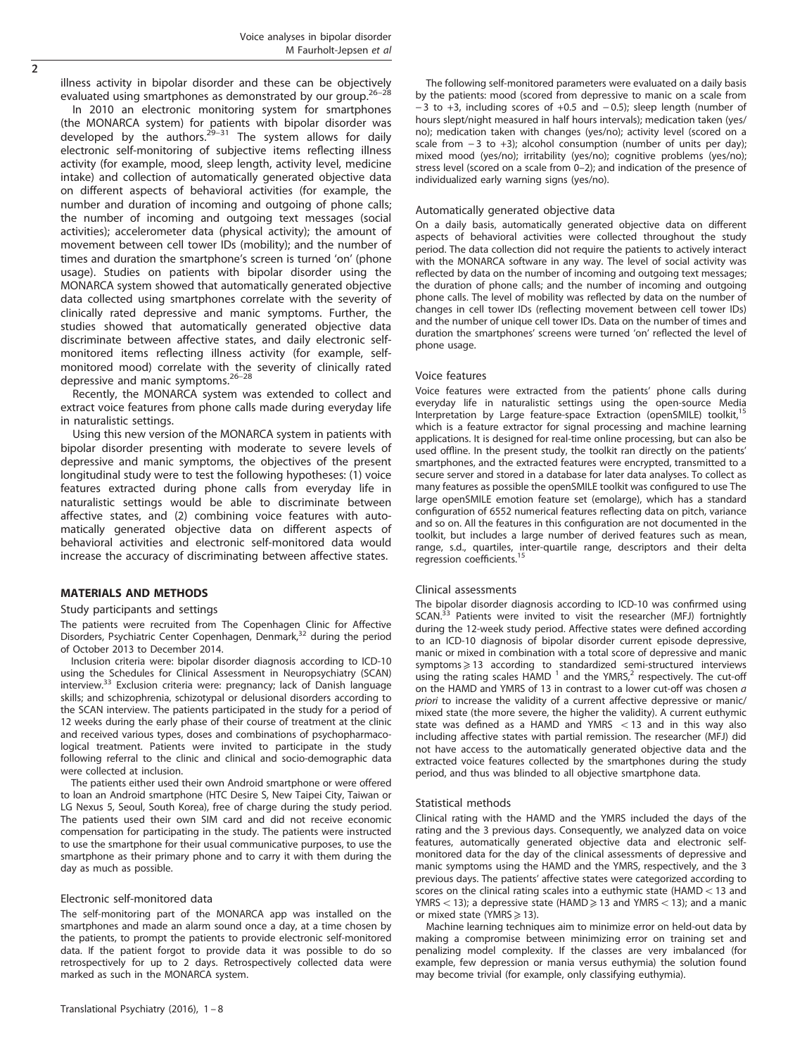$\overline{2}$ 

illness activity in bipolar disorder and these can be objectively evaluated using smartphones as demonstrated by our group.<sup>[26](#page-6-0)-28</sup>

In 2010 an electronic monitoring system for smartphones (the MONARCA system) for patients with bipolar disorder was<br>developed by the authors.<sup>29–[31](#page-6-0)</sup> The system allows for daily electronic self-monitoring of subjective items reflecting illness activity (for example, mood, sleep length, activity level, medicine intake) and collection of automatically generated objective data on different aspects of behavioral activities (for example, the number and duration of incoming and outgoing of phone calls; the number of incoming and outgoing text messages (social activities); accelerometer data (physical activity); the amount of movement between cell tower IDs (mobility); and the number of times and duration the smartphone's screen is turned 'on' (phone usage). Studies on patients with bipolar disorder using the MONARCA system showed that automatically generated objective data collected using smartphones correlate with the severity of clinically rated depressive and manic symptoms. Further, the studies showed that automatically generated objective data discriminate between affective states, and daily electronic selfmonitored items reflecting illness activity (for example, selfmonitored mood) correlate with the severity of clinically rated depressive and manic symptoms.<sup>[26](#page-6-0)-28</sup>

Recently, the MONARCA system was extended to collect and extract voice features from phone calls made during everyday life in naturalistic settings.

Using this new version of the MONARCA system in patients with bipolar disorder presenting with moderate to severe levels of depressive and manic symptoms, the objectives of the present longitudinal study were to test the following hypotheses: (1) voice features extracted during phone calls from everyday life in naturalistic settings would be able to discriminate between affective states, and (2) combining voice features with automatically generated objective data on different aspects of behavioral activities and electronic self-monitored data would increase the accuracy of discriminating between affective states.

#### MATERIALS AND METHODS

#### Study participants and settings

The patients were recruited from The Copenhagen Clinic for Affective Disorders, Psychiatric Center Copenhagen, Denmark,<sup>[32](#page-7-0)</sup> during the period of October 2013 to December 2014.

Inclusion criteria were: bipolar disorder diagnosis according to ICD-10 using the Schedules for Clinical Assessment in Neuropsychiatry (SCAN) interview.[33](#page-7-0) Exclusion criteria were: pregnancy; lack of Danish language skills; and schizophrenia, schizotypal or delusional disorders according to the SCAN interview. The patients participated in the study for a period of 12 weeks during the early phase of their course of treatment at the clinic and received various types, doses and combinations of psychopharmacological treatment. Patients were invited to participate in the study following referral to the clinic and clinical and socio-demographic data were collected at inclusion.

The patients either used their own Android smartphone or were offered to loan an Android smartphone (HTC Desire S, New Taipei City, Taiwan or LG Nexus 5, Seoul, South Korea), free of charge during the study period. The patients used their own SIM card and did not receive economic compensation for participating in the study. The patients were instructed to use the smartphone for their usual communicative purposes, to use the smartphone as their primary phone and to carry it with them during the day as much as possible.

#### Electronic self-monitored data

The self-monitoring part of the MONARCA app was installed on the smartphones and made an alarm sound once a day, at a time chosen by the patients, to prompt the patients to provide electronic self-monitored data. If the patient forgot to provide data it was possible to do so retrospectively for up to 2 days. Retrospectively collected data were marked as such in the MONARCA system.

The following self-monitored parameters were evaluated on a daily basis by the patients: mood (scored from depressive to manic on a scale from − 3 to +3, including scores of +0.5 and − 0.5); sleep length (number of hours slept/night measured in half hours intervals); medication taken (yes/ no); medication taken with changes (yes/no); activity level (scored on a scale from −3 to +3); alcohol consumption (number of units per day); mixed mood (yes/no); irritability (yes/no); cognitive problems (yes/no); stress level (scored on a scale from 0–2); and indication of the presence of individualized early warning signs (yes/no).

#### Automatically generated objective data

On a daily basis, automatically generated objective data on different aspects of behavioral activities were collected throughout the study period. The data collection did not require the patients to actively interact with the MONARCA software in any way. The level of social activity was reflected by data on the number of incoming and outgoing text messages; the duration of phone calls; and the number of incoming and outgoing phone calls. The level of mobility was reflected by data on the number of changes in cell tower IDs (reflecting movement between cell tower IDs) and the number of unique cell tower IDs. Data on the number of times and duration the smartphones' screens were turned 'on' reflected the level of phone usage.

#### Voice features

Voice features were extracted from the patients' phone calls during everyday life in naturalistic settings using the open-source Media Interpretation by Large feature-space Extraction (openSMILE) toolkit, which is a feature extractor for signal processing and machine learning applications. It is designed for real-time online processing, but can also be used offline. In the present study, the toolkit ran directly on the patients' smartphones, and the extracted features were encrypted, transmitted to a secure server and stored in a database for later data analyses. To collect as many features as possible the openSMILE toolkit was configured to use The large openSMILE emotion feature set (emolarge), which has a standard configuration of 6552 numerical features reflecting data on pitch, variance and so on. All the features in this configuration are not documented in the toolkit, but includes a large number of derived features such as mean, range, s.d., quartiles, inter-quartile range, descriptors and their delta regression coefficients.[15](#page-6-0)

#### Clinical assessments

The bipolar disorder diagnosis according to ICD-10 was confirmed using SCAN.<sup>33</sup> Patients were invited to visit the researcher (MFJ) fortnightly during the 12-week study period. Affective states were defined according to an ICD-10 diagnosis of bipolar disorder current episode depressive, manic or mixed in combination with a total score of depressive and manic symptoms  $\geq 13$  according to standardized semi-structured interviews using the rating scales  $HAMD^{-1}$  $HAMD^{-1}$  $HAMD^{-1}$  and the YMRS,<sup>2</sup> respectively. The cut-off on the HAMD and YMRS of 13 in contrast to a lower cut-off was chosen a priori to increase the validity of a current affective depressive or manic/ mixed state (the more severe, the higher the validity). A current euthymic state was defined as a HAMD and YMRS  $<$  13 and in this way also including affective states with partial remission. The researcher (MFJ) did not have access to the automatically generated objective data and the extracted voice features collected by the smartphones during the study period, and thus was blinded to all objective smartphone data.

#### Statistical methods

Clinical rating with the HAMD and the YMRS included the days of the rating and the 3 previous days. Consequently, we analyzed data on voice features, automatically generated objective data and electronic selfmonitored data for the day of the clinical assessments of depressive and manic symptoms using the HAMD and the YMRS, respectively, and the 3 previous days. The patients' affective states were categorized according to scores on the clinical rating scales into a euthymic state (HAMD  $<$  13 and YMRS < 13); a depressive state (HAMD $\geq$  13 and YMRS < 13); and a manic or mixed state (YMRS $\geq 13$ ).

Machine learning techniques aim to minimize error on held-out data by making a compromise between minimizing error on training set and penalizing model complexity. If the classes are very imbalanced (for example, few depression or mania versus euthymia) the solution found may become trivial (for example, only classifying euthymia).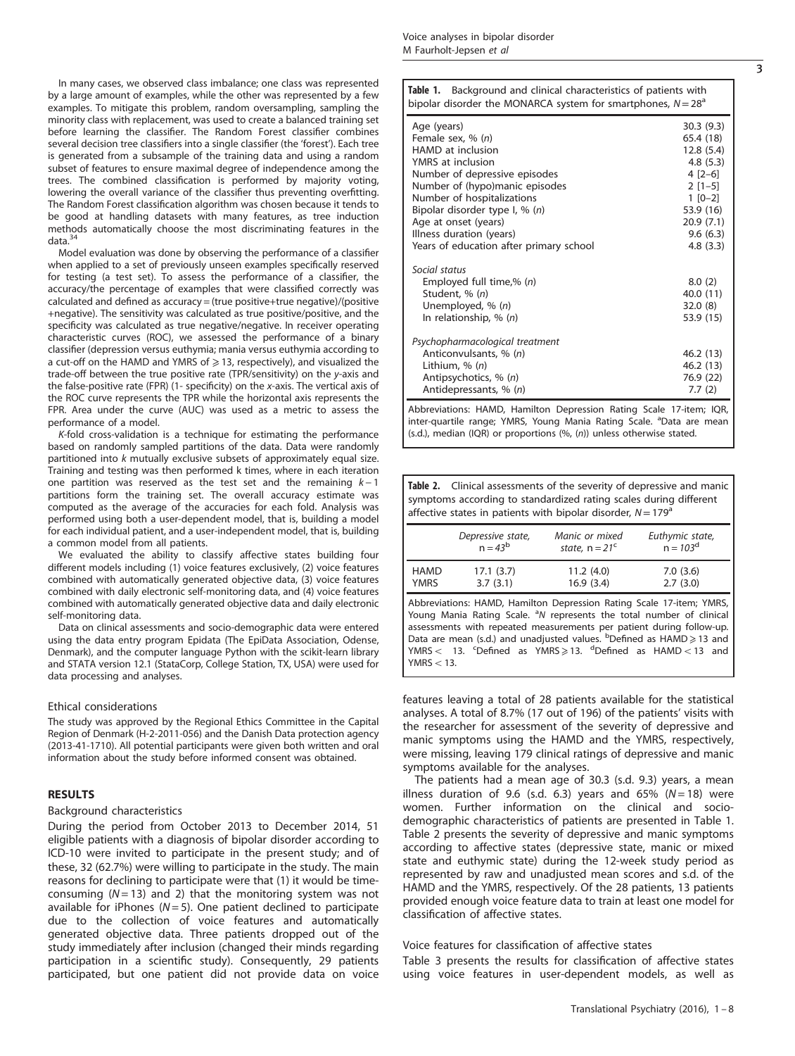In many cases, we observed class imbalance; one class was represented by a large amount of examples, while the other was represented by a few examples. To mitigate this problem, random oversampling, sampling the minority class with replacement, was used to create a balanced training set before learning the classifier. The Random Forest classifier combines several decision tree classifiers into a single classifier (the 'forest'). Each tree is generated from a subsample of the training data and using a random subset of features to ensure maximal degree of independence among the trees. The combined classification is performed by majority voting, lowering the overall variance of the classifier thus preventing overfitting. The Random Forest classification algorithm was chosen because it tends to be good at handling datasets with many features, as tree induction methods automatically choose the most discriminating features in the data[.34](#page-7-0)

Model evaluation was done by observing the performance of a classifier when applied to a set of previously unseen examples specifically reserved for testing (a test set). To assess the performance of a classifier, the accuracy/the percentage of examples that were classified correctly was calculated and defined as accuracy = (true positive+true negative)/(positive +negative). The sensitivity was calculated as true positive/positive, and the specificity was calculated as true negative/negative. In receiver operating characteristic curves (ROC), we assessed the performance of a binary classifier (depression versus euthymia; mania versus euthymia according to a cut-off on the HAMD and YMRS of  $\geq 13$ , respectively), and visualized the trade-off between the true positive rate (TPR/sensitivity) on the y-axis and the false-positive rate (FPR) (1- specificity) on the x-axis. The vertical axis of the ROC curve represents the TPR while the horizontal axis represents the FPR. Area under the curve (AUC) was used as a metric to assess the performance of a model.

K-fold cross-validation is a technique for estimating the performance based on randomly sampled partitions of the data. Data were randomly partitioned into k mutually exclusive subsets of approximately equal size. Training and testing was then performed k times, where in each iteration one partition was reserved as the test set and the remaining  $k-1$ partitions form the training set. The overall accuracy estimate was computed as the average of the accuracies for each fold. Analysis was performed using both a user-dependent model, that is, building a model for each individual patient, and a user-independent model, that is, building a common model from all patients.

We evaluated the ability to classify affective states building four different models including (1) voice features exclusively, (2) voice features combined with automatically generated objective data, (3) voice features combined with daily electronic self-monitoring data, and (4) voice features combined with automatically generated objective data and daily electronic self-monitoring data.

Data on clinical assessments and socio-demographic data were entered using the data entry program Epidata (The EpiData Association, Odense, Denmark), and the computer language Python with the scikit-learn library and STATA version 12.1 (StataCorp, College Station, TX, USA) were used for data processing and analyses.

#### Ethical considerations

The study was approved by the Regional Ethics Committee in the Capital Region of Denmark (H-2-2011-056) and the Danish Data protection agency (2013-41-1710). All potential participants were given both written and oral information about the study before informed consent was obtained.

#### RESULTS

#### Background characteristics

During the period from October 2013 to December 2014, 51 eligible patients with a diagnosis of bipolar disorder according to ICD-10 were invited to participate in the present study; and of these, 32 (62.7%) were willing to participate in the study. The main reasons for declining to participate were that (1) it would be timeconsuming  $(N = 13)$  and 2) that the monitoring system was not available for iPhones ( $N = 5$ ). One patient declined to participate due to the collection of voice features and automatically generated objective data. Three patients dropped out of the study immediately after inclusion (changed their minds regarding participation in a scientific study). Consequently, 29 patients participated, but one patient did not provide data on voice

| <b>Table 1.</b> Background and clinical characteristics of patients with<br>bipolar disorder the MONARCA system for smartphones, $N = 28a$                                                                                                                        |                                                                                                                              |  |  |
|-------------------------------------------------------------------------------------------------------------------------------------------------------------------------------------------------------------------------------------------------------------------|------------------------------------------------------------------------------------------------------------------------------|--|--|
| Age (years)<br>Female sex, % (n)<br>HAMD at inclusion<br>YMRS at inclusion<br>Number of depressive episodes<br>Number of (hypo)manic episodes<br>Number of hospitalizations<br>Bipolar disorder type I, % (n)<br>Age at onset (years)<br>Illness duration (years) | 30.3(9.3)<br>65.4 (18)<br>12.8(5.4)<br>4.8(5.3)<br>$4$ [2-6]<br>$2$ [1-5]<br>$1 [0-2]$<br>53.9 (16)<br>20.9(7.1)<br>9.6(6.3) |  |  |
| Years of education after primary school<br>Social status<br>Employed full time,% (n)<br>Student, % (n)<br>Unemployed, % (n)<br>In relationship, $% (n)$                                                                                                           | 4.8(3.3)<br>8.0(2)<br>40.0 (11)<br>32.0(8)<br>53.9 (15)                                                                      |  |  |
| Psychopharmacological treatment<br>Anticonvulsants, % (n)<br>Lithium, $% (n)$<br>Antipsychotics, % (n)<br>Antidepressants, % (n)                                                                                                                                  | 46.2(13)<br>46.2 (13)<br>76.9 (22)<br>7.7(2)                                                                                 |  |  |
| Abbreviations: HAMD, Hamilton Depression Rating Scale 17-item; IQR,<br>inter-quartile range; YMRS, Young Mania Rating Scale. <sup>a</sup> Data are mean                                                                                                           |                                                                                                                              |  |  |

Table 2. Clinical assessments of the severity of depressive and manic symptoms according to standardized rating scales during different affective states in patients with bipolar disorder,  $N=179^a$ 

(s.d.), median (IQR) or proportions (%, (n)) unless otherwise stated.

|             | Depressive state, | Manic or mixed    | Euthymic state, |
|-------------|-------------------|-------------------|-----------------|
|             | $n = 43^{b}$      | state, $n = 21^c$ | $n = 103^d$     |
| <b>HAMD</b> | 17.1(3.7)         | 11.2(4.0)         | 7.0(3.6)        |
| <b>YMRS</b> | 3.7(3.1)          | 16.9(3.4)         | 2.7(3.0)        |

Abbreviations: HAMD, Hamilton Depression Rating Scale 17-item; YMRS, Young Mania Rating Scale. <sup>a</sup>N represents the total number of clinical assessments with repeated measurements per patient during follow-up. Data are mean (s.d.) and unadjusted values. <sup>b</sup>Defined as HAMD ≥ 13 and  $YMRS < 13$ . <sup>c</sup>Defined as  $YMRS \geqslant 13$ . <sup>d</sup>Defined as  $HAMD < 13$  and YMRS  $<$  13.

features leaving a total of 28 patients available for the statistical analyses. A total of 8.7% (17 out of 196) of the patients' visits with the researcher for assessment of the severity of depressive and manic symptoms using the HAMD and the YMRS, respectively, were missing, leaving 179 clinical ratings of depressive and manic symptoms available for the analyses.

The patients had a mean age of 30.3 (s.d. 9.3) years, a mean illness duration of 9.6 (s.d. 6.3) years and 65% ( $N = 18$ ) were women. Further information on the clinical and sociodemographic characteristics of patients are presented in Table 1. Table 2 presents the severity of depressive and manic symptoms according to affective states (depressive state, manic or mixed state and euthymic state) during the 12-week study period as represented by raw and unadjusted mean scores and s.d. of the HAMD and the YMRS, respectively. Of the 28 patients, 13 patients provided enough voice feature data to train at least one model for classification of affective states.

### Voice features for classification of affective states

[Table 3](#page-3-0) presents the results for classification of affective states using voice features in user-dependent models, as well as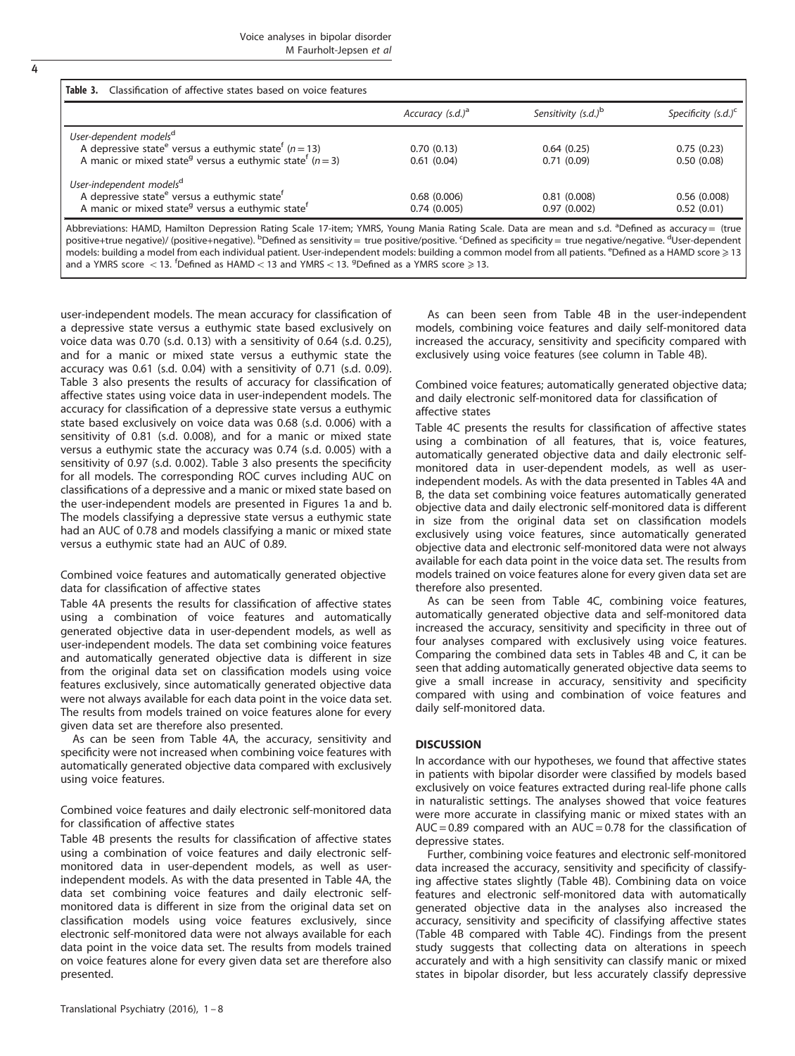<span id="page-3-0"></span>

| ٠ |
|---|
|   |
|   |
|   |

| Table 3.<br>Classification of affective states based on voice features             |                     |                                 |                        |  |
|------------------------------------------------------------------------------------|---------------------|---------------------------------|------------------------|--|
|                                                                                    | Accuracy $(s.d.)^d$ | Sensitivity (s.d.) <sup>b</sup> | Specificity $(s.d.)^c$ |  |
| User-dependent models <sup>d</sup>                                                 |                     |                                 |                        |  |
| A depressive state <sup>e</sup> versus a euthymic state $(n=13)$                   | 0.70(0.13)          | 0.64(0.25)                      | 0.75(0.23)             |  |
| A manic or mixed state <sup>9</sup> versus a euthymic state <sup>f</sup> ( $n=3$ ) | 0.61(0.04)          | 0.71(0.09)                      | 0.50(0.08)             |  |
| User-independent models <sup>d</sup>                                               |                     |                                 |                        |  |
| A depressive state <sup>e</sup> versus a euthymic state <sup>t</sup>               | 0.68(0.006)         | 0.81(0.008)                     | 0.56(0.008)            |  |
| A manic or mixed state <sup>9</sup> versus a euthymic state <sup>f</sup>           | 0.74(0.005)         | 0.97(0.002)                     | 0.52(0.01)             |  |

Abbreviations: HAMD, Hamilton Depression Rating Scale 17-item; YMRS, Young Mania Rating Scale. Data are mean and s.d. <sup>a</sup>Defined as accuracy= (true positive+true negative)/ (positive+negative). <sup>b</sup>Defined as sensitivity = true positive/positive. <sup>c</sup>Defined as specificity = true negative/negative. <sup>d</sup>User-dependent models: building a model from each individual patient. User-independent models: building a common model from all patients. <sup>e</sup>Defined as a HAMD score  $\geqslant$  13 and a YMRS score  $\,<$  13. <sup>f</sup>Defined as HAMD  $<$  13 and YMRS  $<$  13. <sup>g</sup>Defined as a YMRS score  $\geqslant$  13.

user-independent models. The mean accuracy for classification of a depressive state versus a euthymic state based exclusively on voice data was 0.70 (s.d. 0.13) with a sensitivity of 0.64 (s.d. 0.25), and for a manic or mixed state versus a euthymic state the accuracy was 0.61 (s.d. 0.04) with a sensitivity of 0.71 (s.d. 0.09). Table 3 also presents the results of accuracy for classification of affective states using voice data in user-independent models. The accuracy for classification of a depressive state versus a euthymic state based exclusively on voice data was 0.68 (s.d. 0.006) with a sensitivity of 0.81 (s.d. 0.008), and for a manic or mixed state versus a euthymic state the accuracy was 0.74 (s.d. 0.005) with a sensitivity of 0.97 (s.d. 0.002). Table 3 also presents the specificity for all models. The corresponding ROC curves including AUC on classifications of a depressive and a manic or mixed state based on the user-independent models are presented in [Figures 1a and b.](#page-4-0) The models classifying a depressive state versus a euthymic state had an AUC of 0.78 and models classifying a manic or mixed state versus a euthymic state had an AUC of 0.89.

Combined voice features and automatically generated objective data for classification of affective states

[Table 4A](#page-5-0) presents the results for classification of affective states using a combination of voice features and automatically generated objective data in user-dependent models, as well as user-independent models. The data set combining voice features and automatically generated objective data is different in size from the original data set on classification models using voice features exclusively, since automatically generated objective data were not always available for each data point in the voice data set. The results from models trained on voice features alone for every given data set are therefore also presented.

As can be seen from [Table 4A,](#page-5-0) the accuracy, sensitivity and specificity were not increased when combining voice features with automatically generated objective data compared with exclusively using voice features.

Combined voice features and daily electronic self-monitored data for classification of affective states

[Table 4B](#page-5-0) presents the results for classification of affective states using a combination of voice features and daily electronic selfmonitored data in user-dependent models, as well as userindependent models. As with the data presented in [Table 4A,](#page-5-0) the data set combining voice features and daily electronic selfmonitored data is different in size from the original data set on classification models using voice features exclusively, since electronic self-monitored data were not always available for each data point in the voice data set. The results from models trained on voice features alone for every given data set are therefore also presented.

As can been seen from [Table 4B](#page-5-0) in the user-independent models, combining voice features and daily self-monitored data increased the accuracy, sensitivity and specificity compared with exclusively using voice features (see column in [Table 4B](#page-5-0)).

Combined voice features; automatically generated objective data; and daily electronic self-monitored data for classification of affective states

[Table 4C](#page-5-0) presents the results for classification of affective states using a combination of all features, that is, voice features, automatically generated objective data and daily electronic selfmonitored data in user-dependent models, as well as userindependent models. As with the data presented in [Tables 4A and](#page-5-0) [B](#page-5-0), the data set combining voice features automatically generated objective data and daily electronic self-monitored data is different in size from the original data set on classification models exclusively using voice features, since automatically generated objective data and electronic self-monitored data were not always available for each data point in the voice data set. The results from models trained on voice features alone for every given data set are therefore also presented.

As can be seen from [Table 4C,](#page-5-0) combining voice features, automatically generated objective data and self-monitored data increased the accuracy, sensitivity and specificity in three out of four analyses compared with exclusively using voice features. Comparing the combined data sets in [Tables 4B and C,](#page-5-0) it can be seen that adding automatically generated objective data seems to give a small increase in accuracy, sensitivity and specificity compared with using and combination of voice features and daily self-monitored data.

# **DISCUSSION**

In accordance with our hypotheses, we found that affective states in patients with bipolar disorder were classified by models based exclusively on voice features extracted during real-life phone calls in naturalistic settings. The analyses showed that voice features were more accurate in classifying manic or mixed states with an  $AUC = 0.89$  compared with an  $AUC = 0.78$  for the classification of depressive states.

Further, combining voice features and electronic self-monitored data increased the accuracy, sensitivity and specificity of classifying affective states slightly [\(Table 4B](#page-5-0)). Combining data on voice features and electronic self-monitored data with automatically generated objective data in the analyses also increased the accuracy, sensitivity and specificity of classifying affective states ([Table 4B](#page-5-0) compared with [Table 4C](#page-5-0)). Findings from the present study suggests that collecting data on alterations in speech accurately and with a high sensitivity can classify manic or mixed states in bipolar disorder, but less accurately classify depressive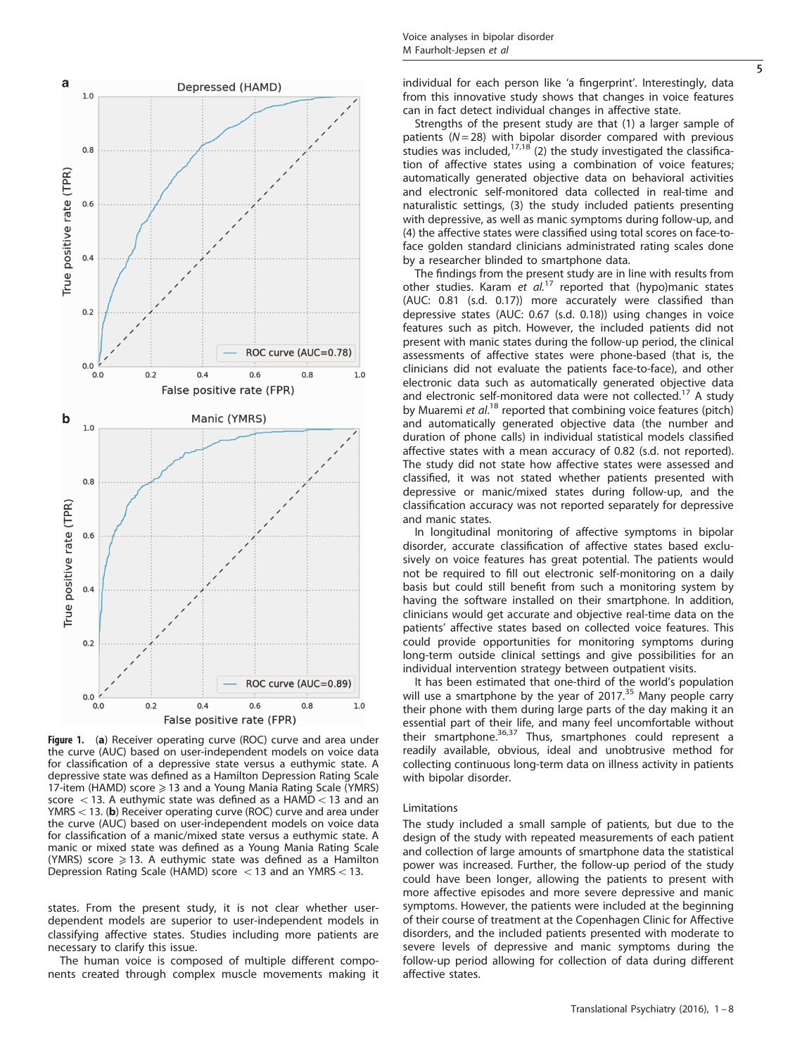<span id="page-4-0"></span>

Figure 1. (a) Receiver operating curve (ROC) curve and area under the curve (AUC) based on user-independent models on voice data for classification of a depressive state versus a euthymic state. A depressive state was defined as a Hamilton Depression Rating Scale 17-item (HAMD) score ≥ 13 and a Young Mania Rating Scale (YMRS) score  $<$  13. A euthymic state was defined as a HAMD $<$  13 and an YMRS  $<$  13. (b) Receiver operating curve (ROC) curve and area under the curve (AUC) based on user-independent models on voice data for classification of a manic/mixed state versus a euthymic state. A manic or mixed state was defined as a Young Mania Rating Scale (YMRS) score  $\geq 13$ . A euthymic state was defined as a Hamilton Depression Rating Scale (HAMD) score  $<$  13 and an YMRS  $<$  13.

states. From the present study, it is not clear whether userdependent models are superior to user-independent models in classifying affective states. Studies including more patients are necessary to clarify this issue.

The human voice is composed of multiple different components created through complex muscle movements making it individual for each person like 'a fingerprint'. Interestingly, data from this innovative study shows that changes in voice features can in fact detect individual changes in affective state.

Strengths of the present study are that (1) a larger sample of patients  $(N = 28)$  with bipolar disorder compared with previous studies was included, $17,18$  $17,18$  $17,18$  (2) the study investigated the classification of affective states using a combination of voice features; automatically generated objective data on behavioral activities and electronic self-monitored data collected in real-time and naturalistic settings, (3) the study included patients presenting with depressive, as well as manic symptoms during follow-up, and (4) the affective states were classified using total scores on face-toface golden standard clinicians administrated rating scales done by a researcher blinded to smartphone data.

The findings from the present study are in line with results from other studies. Karam et  $al^{17}$  $al^{17}$  $al^{17}$  reported that (hypo)manic states (AUC: 0.81 (s.d. 0.17)) more accurately were classified than depressive states (AUC: 0.67 (s.d. 0.18)) using changes in voice features such as pitch. However, the included patients did not present with manic states during the follow-up period, the clinical assessments of affective states were phone-based (that is, the clinicians did not evaluate the patients face-to-face), and other electronic data such as automatically generated objective data and electronic self-monitored data were not collected.<sup>[17](#page-6-0)</sup> A study by Muaremi et al.<sup>[18](#page-6-0)</sup> reported that combining voice features (pitch) and automatically generated objective data (the number and duration of phone calls) in individual statistical models classified affective states with a mean accuracy of 0.82 (s.d. not reported). The study did not state how affective states were assessed and classified, it was not stated whether patients presented with depressive or manic/mixed states during follow-up, and the classification accuracy was not reported separately for depressive and manic states.

In longitudinal monitoring of affective symptoms in bipolar disorder, accurate classification of affective states based exclusively on voice features has great potential. The patients would not be required to fill out electronic self-monitoring on a daily basis but could still benefit from such a monitoring system by having the software installed on their smartphone. In addition, clinicians would get accurate and objective real-time data on the patients' affective states based on collected voice features. This could provide opportunities for monitoring symptoms during long-term outside clinical settings and give possibilities for an individual intervention strategy between outpatient visits.

It has been estimated that one-third of the world's population will use a smartphone by the year of 2017.<sup>[35](#page-7-0)</sup> Many people carry their phone with them during large parts of the day making it an essential part of their life, and many feel uncomfortable without their smartphone.<sup>[36,37](#page-7-0)</sup> Thus, smartphones could represent a readily available, obvious, ideal and unobtrusive method for collecting continuous long-term data on illness activity in patients with bipolar disorder.

#### Limitations

The study included a small sample of patients, but due to the design of the study with repeated measurements of each patient and collection of large amounts of smartphone data the statistical power was increased. Further, the follow-up period of the study could have been longer, allowing the patients to present with more affective episodes and more severe depressive and manic symptoms. However, the patients were included at the beginning of their course of treatment at the Copenhagen Clinic for Affective disorders, and the included patients presented with moderate to severe levels of depressive and manic symptoms during the follow-up period allowing for collection of data during different affective states.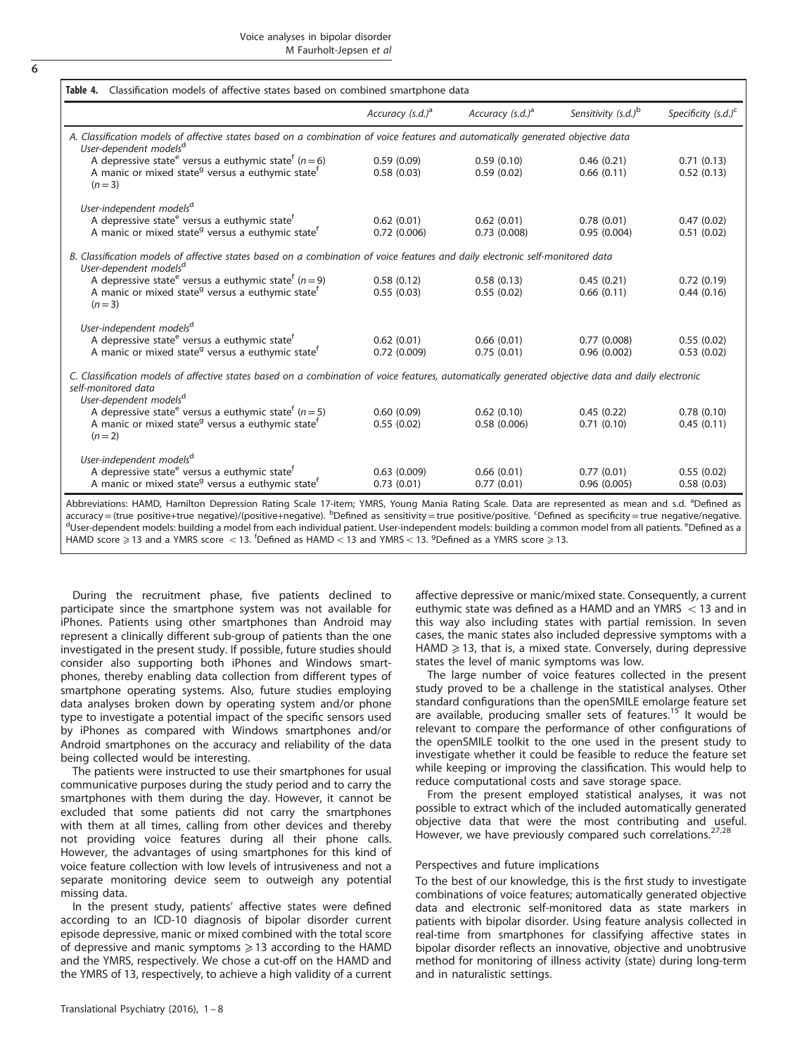Voice analyses in bipolar disorder M Faurholt-Jepsen et al

|                                                                                                                                                                                                                 | Accuracy $(s.d.)^a$ | Accuracy $(s.d.)^a$ | Sensitivity $(s.d.)^b$ | Specificity $(s.d.)^c$ |
|-----------------------------------------------------------------------------------------------------------------------------------------------------------------------------------------------------------------|---------------------|---------------------|------------------------|------------------------|
| A. Classification models of affective states based on a combination of voice features and automatically generated objective data<br>User-dependent models <sup>d</sup>                                          |                     |                     |                        |                        |
| A depressive state versus a euthymic state $(n=6)$                                                                                                                                                              | 0.59(0.09)          | 0.59(0.10)          | 0.46(0.21)             | 0.71(0.13)             |
| A manic or mixed state <sup>g</sup> versus a euthymic state <sup>f</sup><br>$(n=3)$                                                                                                                             | 0.58(0.03)          | 0.59(0.02)          | 0.66(0.11)             | 0.52(0.13)             |
| User-independent models <sup>d</sup>                                                                                                                                                                            |                     |                     |                        |                        |
| A depressive state <sup>e</sup> versus a euthymic state <sup>t</sup>                                                                                                                                            | 0.62(0.01)          | 0.62(0.01)          | 0.78(0.01)             | 0.47(0.02)             |
| A manic or mixed state <sup>9</sup> versus a euthymic state <sup>f</sup>                                                                                                                                        | 0.72(0.006)         | 0.73(0.008)         | 0.95(0.004)            | 0.51(0.02)             |
| B. Classification models of affective states based on a combination of voice features and daily electronic self-monitored data<br>User-dependent models <sup>d</sup>                                            |                     |                     |                        |                        |
| A depressive state versus a euthymic state $(n=9)$                                                                                                                                                              | 0.58(0.12)          | 0.58(0.13)          | 0.45(0.21)             | 0.72(0.19)             |
| A manic or mixed state <sup>g</sup> versus a euthymic state <sup>f</sup><br>$(n=3)$                                                                                                                             | 0.55(0.03)          | 0.55(0.02)          | 0.66(0.11)             | 0.44(0.16)             |
| User-independent models <sup>d</sup>                                                                                                                                                                            |                     |                     |                        |                        |
| A depressive state <sup>e</sup> versus a euthymic state <sup>t</sup>                                                                                                                                            | 0.62(0.01)          | 0.66(0.01)          | 0.77(0.008)            | 0.55(0.02)             |
| A manic or mixed state <sup>9</sup> versus a euthymic state <sup>f</sup>                                                                                                                                        | 0.72(0.009)         | 0.75(0.01)          | 0.96(0.002)            | 0.53(0.02)             |
| C. Classification models of affective states based on a combination of voice features, automatically generated objective data and daily electronic<br>self-monitored data<br>User-dependent models <sup>d</sup> |                     |                     |                        |                        |
| A depressive state versus a euthymic state $(n=5)$                                                                                                                                                              | 0.60(0.09)          | 0.62(0.10)          | 0.45(0.22)             | 0.78(0.10)             |
| A manic or mixed state <sup>g</sup> versus a euthymic state <sup>f</sup><br>$(n=2)$                                                                                                                             | 0.55(0.02)          | 0.58(0.006)         | 0.71(0.10)             | 0.45(0.11)             |
| User-independent models <sup>d</sup>                                                                                                                                                                            |                     |                     |                        |                        |
| A depressive state <sup>e</sup> versus a euthymic state <sup>f</sup>                                                                                                                                            | 0.63(0.009)         | 0.66(0.01)          | 0.77(0.01)             | 0.55(0.02)             |
| A manic or mixed state <sup>9</sup> versus a euthymic state <sup>f</sup>                                                                                                                                        | 0.73(0.01)          | 0.77(0.01)          | 0.96(0.005)            | 0.58(0.03)             |

accuracy = (true positive+true negative)/(positive+negative). <sup>b</sup>Defined as sensitivity = true positive/positive. <sup>c</sup>Defined as specificity = true negative/negative.<br><sup>d</sup>Llser-dependent models: building a model from each in User-dependent models: building a model from each individual patient. User-independent models: building a common model from all patients. <sup>e</sup>Defined as a HAMD score  $\geqslant$  13 and a YMRS score  $\leq$  13. <sup>f</sup>Defined as HAMD  $\lt$  13 and YMRS  $\lt$  13. <sup>9</sup>Defined as a YMRS score  $\geqslant$  13.

During the recruitment phase, five patients declined to participate since the smartphone system was not available for iPhones. Patients using other smartphones than Android may represent a clinically different sub-group of patients than the one investigated in the present study. If possible, future studies should consider also supporting both iPhones and Windows smartphones, thereby enabling data collection from different types of smartphone operating systems. Also, future studies employing data analyses broken down by operating system and/or phone type to investigate a potential impact of the specific sensors used by iPhones as compared with Windows smartphones and/or Android smartphones on the accuracy and reliability of the data being collected would be interesting.

The patients were instructed to use their smartphones for usual communicative purposes during the study period and to carry the smartphones with them during the day. However, it cannot be excluded that some patients did not carry the smartphones with them at all times, calling from other devices and thereby not providing voice features during all their phone calls. However, the advantages of using smartphones for this kind of voice feature collection with low levels of intrusiveness and not a separate monitoring device seem to outweigh any potential missing data.

In the present study, patients' affective states were defined according to an ICD-10 diagnosis of bipolar disorder current episode depressive, manic or mixed combined with the total score of depressive and manic symptoms  $\geq 13$  according to the HAMD and the YMRS, respectively. We chose a cut-off on the HAMD and the YMRS of 13, respectively, to achieve a high validity of a current affective depressive or manic/mixed state. Consequently, a current euthymic state was defined as a HAMD and an YMRS  $<$  13 and in this way also including states with partial remission. In seven cases, the manic states also included depressive symptoms with a  $HAMD \geqslant 13$ , that is, a mixed state. Conversely, during depressive states the level of manic symptoms was low.

The large number of voice features collected in the present study proved to be a challenge in the statistical analyses. Other standard configurations than the openSMILE emolarge feature set are available, producing smaller sets of features.<sup>[15](#page-6-0)</sup> It would be relevant to compare the performance of other configurations of the openSMILE toolkit to the one used in the present study to investigate whether it could be feasible to reduce the feature set while keeping or improving the classification. This would help to reduce computational costs and save storage space.

From the present employed statistical analyses, it was not possible to extract which of the included automatically generated objective data that were the most contributing and useful. However, we have previously compared such correlations.<sup>[27,28](#page-6-0)</sup>

# Perspectives and future implications

To the best of our knowledge, this is the first study to investigate combinations of voice features; automatically generated objective data and electronic self-monitored data as state markers in patients with bipolar disorder. Using feature analysis collected in real-time from smartphones for classifying affective states in bipolar disorder reflects an innovative, objective and unobtrusive method for monitoring of illness activity (state) during long-term and in naturalistic settings.

<span id="page-5-0"></span>6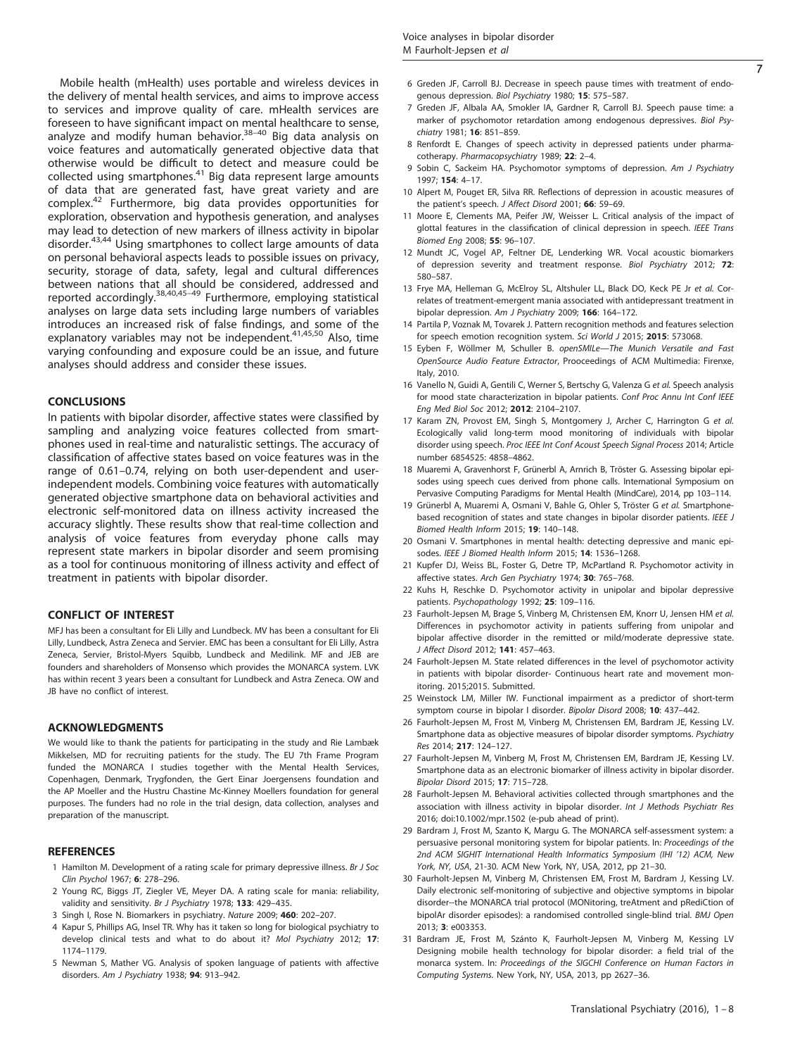<span id="page-6-0"></span>Mobile health (mHealth) uses portable and wireless devices in the delivery of mental health services, and aims to improve access to services and improve quality of care. mHealth services are foreseen to have significant impact on mental healthcare to sense, analyze and modify human behavior.<sup>38–[40](#page-7-0)</sup> Big data analysis on voice features and automatically generated objective data that otherwise would be difficult to detect and measure could be collected using smartphones.<sup>[41](#page-7-0)</sup> Big data represent large amounts of data that are generated fast, have great variety and are complex.[42](#page-7-0) Furthermore, big data provides opportunities for exploration, observation and hypothesis generation, and analyses may lead to detection of new markers of illness activity in bipolar disorder.<sup>43,[44](#page-7-0)</sup> Using smartphones to collect large amounts of data on personal behavioral aspects leads to possible issues on privacy, security, storage of data, safety, legal and cultural differences between nations that all should be considered, addressed and reported accordingly.[38,40,45](#page-7-0)–<sup>49</sup> Furthermore, employing statistical analyses on large data sets including large numbers of variables introduces an increased risk of false findings, and some of the explanatory variables may not be independent.<sup>[41,45,50](#page-7-0)</sup> Also, time varying confounding and exposure could be an issue, and future analyses should address and consider these issues.

# **CONCLUSIONS**

In patients with bipolar disorder, affective states were classified by sampling and analyzing voice features collected from smartphones used in real-time and naturalistic settings. The accuracy of classification of affective states based on voice features was in the range of 0.61–0.74, relying on both user-dependent and userindependent models. Combining voice features with automatically generated objective smartphone data on behavioral activities and electronic self-monitored data on illness activity increased the accuracy slightly. These results show that real-time collection and analysis of voice features from everyday phone calls may represent state markers in bipolar disorder and seem promising as a tool for continuous monitoring of illness activity and effect of treatment in patients with bipolar disorder.

#### CONFLICT OF INTEREST

MFJ has been a consultant for Eli Lilly and Lundbeck. MV has been a consultant for Eli Lilly, Lundbeck, Astra Zeneca and Servier. EMC has been a consultant for Eli Lilly, Astra Zeneca, Servier, Bristol-Myers Squibb, Lundbeck and Medilink. MF and JEB are founders and shareholders of Monsenso which provides the MONARCA system. LVK has within recent 3 years been a consultant for Lundbeck and Astra Zeneca. OW and JB have no conflict of interest.

#### ACKNOWLEDGMENTS

We would like to thank the patients for participating in the study and Rie Lambæk Mikkelsen, MD for recruiting patients for the study. The EU 7th Frame Program funded the MONARCA I studies together with the Mental Health Services, Copenhagen, Denmark, Trygfonden, the Gert Einar Joergensens foundation and the AP Moeller and the Hustru Chastine Mc-Kinney Moellers foundation for general purposes. The funders had no role in the trial design, data collection, analyses and preparation of the manuscript.

#### REFERENCES

- 1 Hamilton M. Development of a rating scale for primary depressive illness. Br J Soc Clin Psychol 1967; 6: 278–296.
- 2 Young RC, Biggs JT, Ziegler VE, Meyer DA. A rating scale for mania: reliability, validity and sensitivity. Br J Psychiatry 1978; 133: 429-435.
- 3 Singh I, Rose N. Biomarkers in psychiatry. Nature 2009; 460: 202–207.
- 4 Kapur S, Phillips AG, Insel TR. Why has it taken so long for biological psychiatry to develop clinical tests and what to do about it? Mol Psychiatry 2012; 17: 1174–1179.
- 5 Newman S, Mather VG. Analysis of spoken language of patients with affective disorders. Am J Psychiatry 1938; 94: 913–942.
- 6 Greden JF, Carroll BJ. Decrease in speech pause times with treatment of endogenous depression. Biol Psychiatry 1980; 15: 575–587.
- 7 Greden JF, Albala AA, Smokler IA, Gardner R, Carroll BJ. Speech pause time: a marker of psychomotor retardation among endogenous depressives. Biol Psychiatry 1981; 16: 851–859.
- 8 Renfordt E. Changes of speech activity in depressed patients under pharmacotherapy. Pharmacopsychiatry 1989; 22: 2–4.
- 9 Sobin C, Sackeim HA. Psychomotor symptoms of depression. Am J Psychiatry 1997; 154: 4–17.
- 10 Alpert M, Pouget ER, Silva RR. Reflections of depression in acoustic measures of the patient's speech. J Affect Disord 2001; 66: 59-69.
- 11 Moore E, Clements MA, Peifer JW, Weisser L. Critical analysis of the impact of glottal features in the classification of clinical depression in speech. IEEE Trans Biomed Eng 2008; 55: 96–107.
- 12 Mundt JC, Vogel AP, Feltner DE, Lenderking WR. Vocal acoustic biomarkers of depression severity and treatment response. Biol Psychiatry 2012; 72: 580–587.
- 13 Frye MA, Helleman G, McElroy SL, Altshuler LL, Black DO, Keck PE Jr et al. Correlates of treatment-emergent mania associated with antidepressant treatment in bipolar depression. Am J Psychiatry 2009; 166: 164-172.
- 14 Partila P, Voznak M, Tovarek J. Pattern recognition methods and features selection for speech emotion recognition system. Sci World J 2015; 2015: 573068.
- 15 Eyben F, Wöllmer M, Schuller B. openSMILe-The Munich Versatile and Fast OpenSource Audio Feature Extractor, Prooceedings of ACM Multimedia: Firenxe, Italy, 2010.
- 16 Vanello N, Guidi A, Gentili C, Werner S, Bertschy G, Valenza G et al. Speech analysis for mood state characterization in bipolar patients. Conf Proc Annu Int Conf IEEE Eng Med Biol Soc 2012; 2012: 2104–2107.
- 17 Karam ZN, Provost EM, Singh S, Montgomery J, Archer C, Harrington G et al. Ecologically valid long-term mood monitoring of individuals with bipolar disorder using speech. Proc IEEE Int Conf Acoust Speech Signal Process 2014; Article number 6854525: 4858–4862.
- 18 Muaremi A, Gravenhorst F, Grünerbl A, Arnrich B, Tröster G. Assessing bipolar episodes using speech cues derived from phone calls. International Symposium on Pervasive Computing Paradigms for Mental Health (MindCare), 2014, pp 103–114.
- 19 Grünerbl A, Muaremi A, Osmani V, Bahle G, Ohler S, Tröster G et al. Smartphonebased recognition of states and state changes in bipolar disorder patients. IEEE J Biomed Health Inform 2015; 19: 140–148.
- 20 Osmani V. Smartphones in mental health: detecting depressive and manic episodes. IEEE J Biomed Health Inform 2015; 14: 1536–1268.
- 21 Kupfer DJ, Weiss BL, Foster G, Detre TP, McPartland R. Psychomotor activity in affective states. Arch Gen Psychiatry 1974; 30: 765–768.
- 22 Kuhs H, Reschke D. Psychomotor activity in unipolar and bipolar depressive patients. Psychopathology 1992; 25: 109–116.
- 23 Faurholt-Jepsen M, Brage S, Vinberg M, Christensen EM, Knorr U, Jensen HM et al. Differences in psychomotor activity in patients suffering from unipolar and bipolar affective disorder in the remitted or mild/moderate depressive state. J Affect Disord 2012; 141: 457–463.
- 24 Faurholt-Jepsen M. State related differences in the level of psychomotor activity in patients with bipolar disorder- Continuous heart rate and movement monitoring. 2015;2015. Submitted.
- 25 Weinstock LM, Miller IW. Functional impairment as a predictor of short-term symptom course in bipolar I disorder. Bipolar Disord 2008; 10: 437–442.
- 26 Faurholt-Jepsen M, Frost M, Vinberg M, Christensen EM, Bardram JE, Kessing LV. Smartphone data as objective measures of bipolar disorder symptoms. Psychiatry Res 2014; 217: 124–127.
- 27 Faurholt-Jepsen M, Vinberg M, Frost M, Christensen EM, Bardram JE, Kessing LV. Smartphone data as an electronic biomarker of illness activity in bipolar disorder. Bipolar Disord 2015; 17: 715–728.
- 28 Faurholt-Jepsen M. Behavioral activities collected through smartphones and the association with illness activity in bipolar disorder. Int J Methods Psychiatr Res 2016; doi:10.1002/mpr.1502 (e-pub ahead of print).
- 29 Bardram J, Frost M, Szanto K, Margu G. The MONARCA self-assessment system: a persuasive personal monitoring system for bipolar patients. In: Proceedings of the 2nd ACM SIGHIT International Health Informatics Symposium (IHI '12) ACM, New York, NY, USA, 21-30. ACM New York, NY, USA, 2012, pp 21–30.
- 30 Faurholt-Jepsen M, Vinberg M, Christensen EM, Frost M, Bardram J, Kessing LV. Daily electronic self-monitoring of subjective and objective symptoms in bipolar disorder--the MONARCA trial protocol (MONitoring, treAtment and pRediCtion of bipolAr disorder episodes): a randomised controlled single-blind trial. BMJ Open 2013; 3: e003353.
- 31 Bardram JE, Frost M, Szánto K, Faurholt-Jepsen M, Vinberg M, Kessing LV Designing mobile health technology for bipolar disorder: a field trial of the monarca system. In: Proceedings of the SIGCHI Conference on Human Factors in Computing Systems. New York, NY, USA, 2013, pp 2627–36.